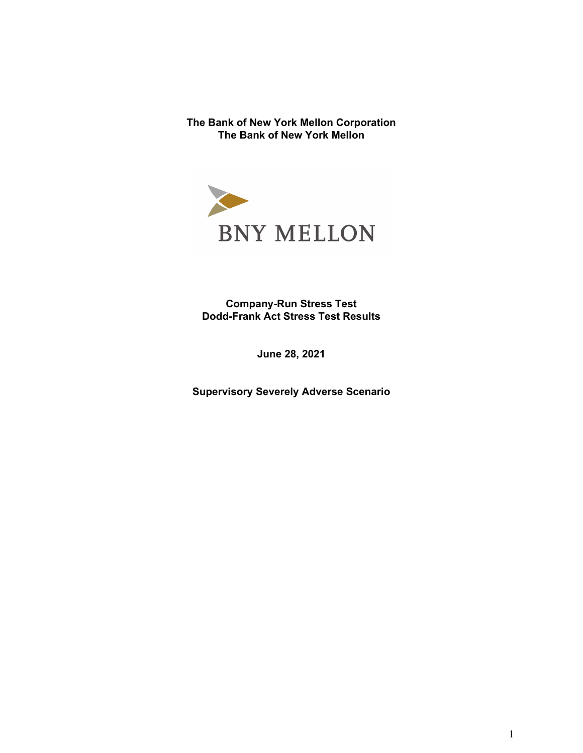**The Bank of New York Mellon Corporation The Bank of New York Mellon**



**Company-Run Stress Test Dodd-Frank Act Stress Test Results**

**June 28, 2021**

**Supervisory Severely Adverse Scenario**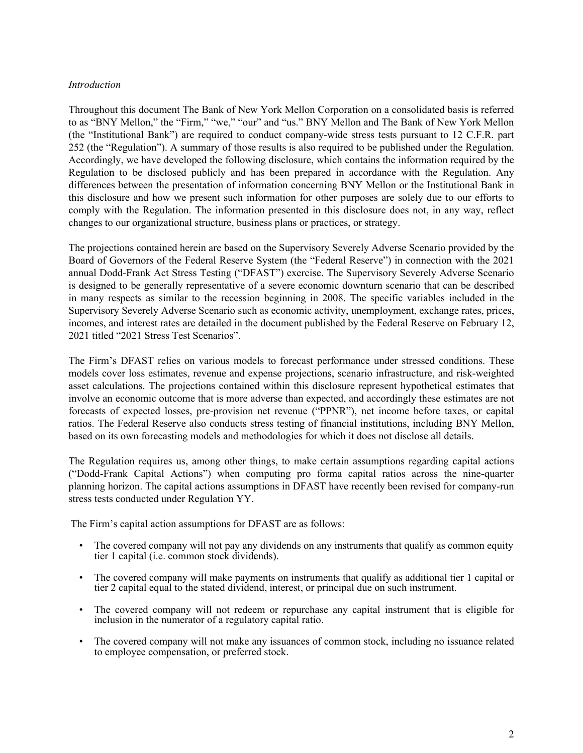### *Introduction*

Throughout this document The Bank of New York Mellon Corporation on a consolidated basis is referred to as "BNY Mellon," the "Firm," "we," "our" and "us." BNY Mellon and The Bank of New York Mellon (the "Institutional Bank") are required to conduct company-wide stress tests pursuant to 12 C.F.R. part 252 (the "Regulation"). A summary of those results is also required to be published under the Regulation. Accordingly, we have developed the following disclosure, which contains the information required by the Regulation to be disclosed publicly and has been prepared in accordance with the Regulation. Any differences between the presentation of information concerning BNY Mellon or the Institutional Bank in this disclosure and how we present such information for other purposes are solely due to our efforts to comply with the Regulation. The information presented in this disclosure does not, in any way, reflect changes to our organizational structure, business plans or practices, or strategy.

The projections contained herein are based on the Supervisory Severely Adverse Scenario provided by the Board of Governors of the Federal Reserve System (the "Federal Reserve") in connection with the 2021 annual Dodd-Frank Act Stress Testing ("DFAST") exercise. The Supervisory Severely Adverse Scenario is designed to be generally representative of a severe economic downturn scenario that can be described in many respects as similar to the recession beginning in 2008. The specific variables included in the Supervisory Severely Adverse Scenario such as economic activity, unemployment, exchange rates, prices, incomes, and interest rates are detailed in the document published by the Federal Reserve on February 12, 2021 titled "2021 Stress Test Scenarios".

The Firm's DFAST relies on various models to forecast performance under stressed conditions. These models cover loss estimates, revenue and expense projections, scenario infrastructure, and risk-weighted asset calculations. The projections contained within this disclosure represent hypothetical estimates that involve an economic outcome that is more adverse than expected, and accordingly these estimates are not forecasts of expected losses, pre-provision net revenue ("PPNR"), net income before taxes, or capital ratios. The Federal Reserve also conducts stress testing of financial institutions, including BNY Mellon, based on its own forecasting models and methodologies for which it does not disclose all details.

The Regulation requires us, among other things, to make certain assumptions regarding capital actions ("Dodd-Frank Capital Actions") when computing pro forma capital ratios across the nine-quarter planning horizon. The capital actions assumptions in DFAST have recently been revised for company-run stress tests conducted under Regulation YY.

The Firm's capital action assumptions for DFAST are as follows:

- The covered company will not pay any dividends on any instruments that qualify as common equity tier 1 capital (i.e. common stock dividends).
- The covered company will make payments on instruments that qualify as additional tier 1 capital or tier 2 capital equal to the stated dividend, interest, or principal due on such instrument.
- The covered company will not redeem or repurchase any capital instrument that is eligible for inclusion in the numerator of a regulatory capital ratio.
- The covered company will not make any issuances of common stock, including no issuance related to employee compensation, or preferred stock.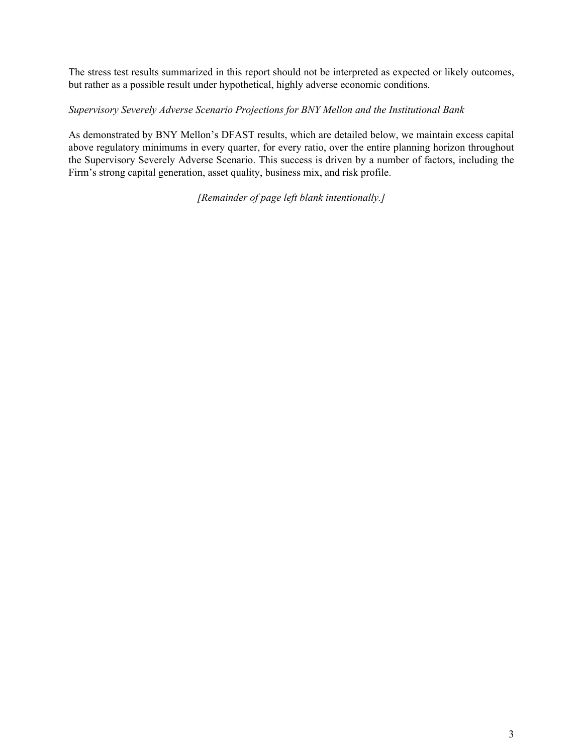The stress test results summarized in this report should not be interpreted as expected or likely outcomes, but rather as a possible result under hypothetical, highly adverse economic conditions.

# *Supervisory Severely Adverse Scenario Projections for BNY Mellon and the Institutional Bank*

As demonstrated by BNY Mellon's DFAST results, which are detailed below, we maintain excess capital above regulatory minimums in every quarter, for every ratio, over the entire planning horizon throughout the Supervisory Severely Adverse Scenario. This success is driven by a number of factors, including the Firm's strong capital generation, asset quality, business mix, and risk profile.

*[Remainder of page left blank intentionally.]*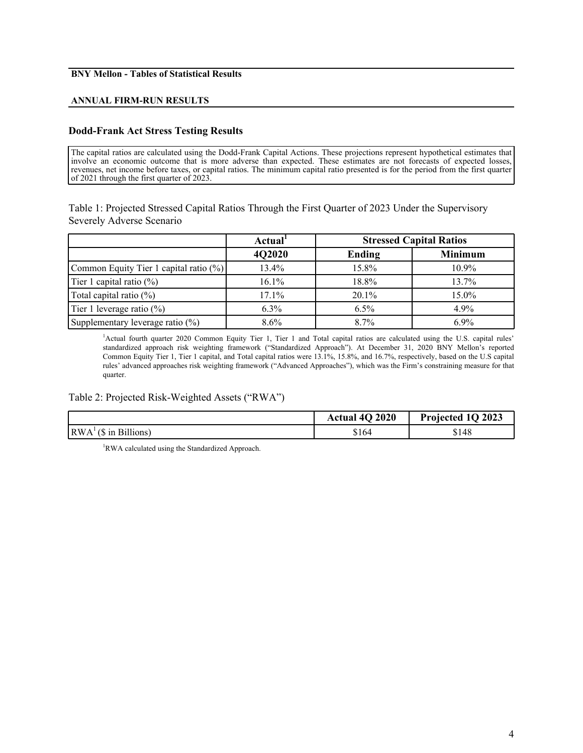# **BNY Mellon - Tables of Statistical Results**

### **ANNUAL FIRM-RUN RESULTS**

## **Dodd-Frank Act Stress Testing Results**

The capital ratios are calculated using the Dodd-Frank Capital Actions. These projections represent hypothetical estimates that involve an economic outcome that is more adverse than expected. These estimates are not forecasts of expected losses, revenues, net income before taxes, or capital ratios. The minimum capital ratio presented is for the period from the first quarter of 2021 through the first quarter of 2023.

Table 1: Projected Stressed Capital Ratios Through the First Quarter of 2023 Under the Supervisory Severely Adverse Scenario

|                                        | Actual <sup>1</sup> | <b>Stressed Capital Ratios</b> |                |
|----------------------------------------|---------------------|--------------------------------|----------------|
|                                        | 4Q2020              | Ending                         | <b>Minimum</b> |
| Common Equity Tier 1 capital ratio (%) | 13.4%               | $15.8\%$                       | $10.9\%$       |
| Tier 1 capital ratio $(\%)$            | 16.1%               | 18.8%                          | 13.7%          |
| Total capital ratio $(\%)$             | 17.1%               | $20.1\%$                       | 15.0%          |
| Tier 1 leverage ratio (%)              | $6.3\%$             | 6.5%                           | 4.9%           |
| Supplementary leverage ratio (%)       | $8.6\%$             | 8.7%                           | $6.9\%$        |

<sup>1</sup>Actual fourth quarter 2020 Common Equity Tier 1, Tier 1 and Total capital ratios are calculated using the U.S. capital rules' standardized approach risk weighting framework ("Standardized Approach"). At December 31, 2020 BNY Mellon's reported Common Equity Tier 1, Tier 1 capital, and Total capital ratios were 13.1%, 15.8%, and 16.7%, respectively, based on the U.S capital rules' advanced approaches risk weighting framework ("Advanced Approaches"), which was the Firm's constraining measure for that quarter.

### Table 2: Projected Risk-Weighted Assets ("RWA")

|                                        | Actual 4Q 2020 | Projected 1Q 2023 |
|----------------------------------------|----------------|-------------------|
| RWA <sup>1</sup><br>' (\$ in Billions) | \$164          | \$148             |

<sup>1</sup>RWA calculated using the Standardized Approach.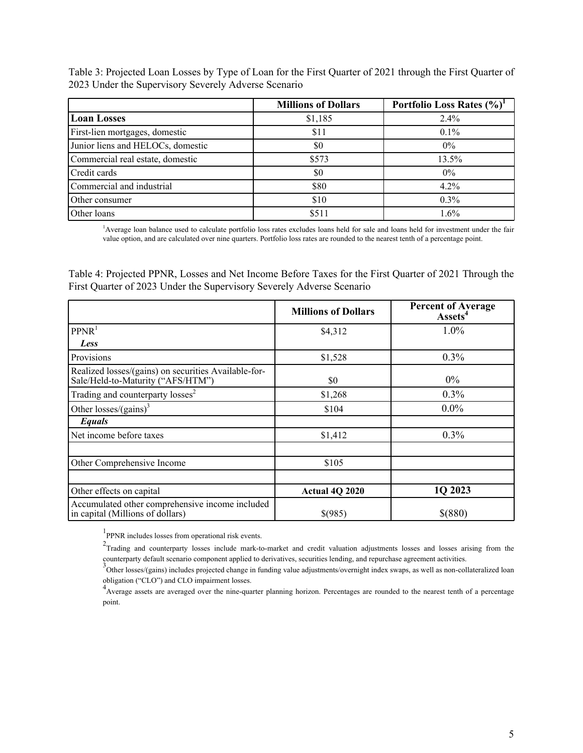Table 3: Projected Loan Losses by Type of Loan for the First Quarter of 2021 through the First Quarter of 2023 Under the Supervisory Severely Adverse Scenario

|                                   | <b>Millions of Dollars</b> | Portfolio Loss Rates (%) <sup>1</sup> |
|-----------------------------------|----------------------------|---------------------------------------|
| <b>Loan Losses</b>                | \$1,185                    | $2.4\%$                               |
| First-lien mortgages, domestic    | \$11                       | $0.1\%$                               |
| Junior liens and HELOCs, domestic | \$0                        | $0\%$                                 |
| Commercial real estate, domestic  | \$573                      | 13.5%                                 |
| Credit cards                      | \$0                        | $0\%$                                 |
| Commercial and industrial         | \$80                       | 4.2%                                  |
| Other consumer                    | \$10                       | $0.3\%$                               |
| Other loans                       | \$511                      | 1.6%                                  |

<sup>1</sup>Average loan balance used to calculate portfolio loss rates excludes loans held for sale and loans held for investment under the fair value option, and are calculated over nine quarters. Portfolio loss rates are rounded to the nearest tenth of a percentage point.

Table 4: Projected PPNR, Losses and Net Income Before Taxes for the First Quarter of 2021 Through the First Quarter of 2023 Under the Supervisory Severely Adverse Scenario

|                                                                                           | <b>Millions of Dollars</b> | <b>Percent of Average</b><br>Assets <sup>4</sup> |
|-------------------------------------------------------------------------------------------|----------------------------|--------------------------------------------------|
| PPNR <sup>1</sup>                                                                         | \$4,312                    | 1.0%                                             |
| Less                                                                                      |                            |                                                  |
| Provisions                                                                                | \$1,528                    | $0.3\%$                                          |
| Realized losses/(gains) on securities Available-for-<br>Sale/Held-to-Maturity ("AFS/HTM") | \$0                        | $0\%$                                            |
| Trading and counterparty losses <sup>2</sup>                                              | \$1,268                    | $0.3\%$                                          |
| Other losses/(gains) <sup>3</sup>                                                         | \$104                      | $0.0\%$                                          |
| Equals                                                                                    |                            |                                                  |
| Net income before taxes                                                                   | \$1,412                    | $0.3\%$                                          |
|                                                                                           |                            |                                                  |
| Other Comprehensive Income                                                                | \$105                      |                                                  |
|                                                                                           |                            |                                                  |
| Other effects on capital                                                                  | Actual 4Q 2020             | 1Q 2023                                          |
| Accumulated other comprehensive income included<br>in capital (Millions of dollars)       | \$(985)                    | \$(880)                                          |

<sup>1</sup>PPNR includes losses from operational risk events.

 $2$ Trading and counterparty losses include mark-to-market and credit valuation adjustments losses and losses arising from the

counterparty default scenario component applied to derivatives, securities lending, and repurchase agreement activities.<br><sup>3</sup>Other losses/(gains) includes projected change in funding value adjustments/overnight index swaps, obligation ("CLO") and CLO impairment losses.

<sup>4</sup> Average assets are averaged over the nine-quarter planning horizon. Percentages are rounded to the nearest tenth of a percentage point.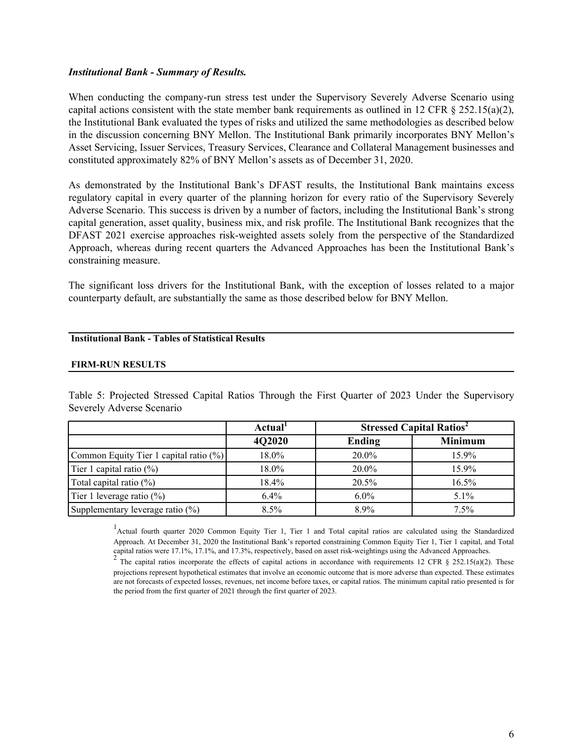### *Institutional Bank - Summary of Results.*

When conducting the company-run stress test under the Supervisory Severely Adverse Scenario using capital actions consistent with the state member bank requirements as outlined in 12 CFR  $\S$  252.15(a)(2), the Institutional Bank evaluated the types of risks and utilized the same methodologies as described below in the discussion concerning BNY Mellon. The Institutional Bank primarily incorporates BNY Mellon's Asset Servicing, Issuer Services, Treasury Services, Clearance and Collateral Management businesses and constituted approximately 82% of BNY Mellon's assets as of December 31, 2020.

As demonstrated by the Institutional Bank's DFAST results, the Institutional Bank maintains excess regulatory capital in every quarter of the planning horizon for every ratio of the Supervisory Severely Adverse Scenario. This success is driven by a number of factors, including the Institutional Bank's strong capital generation, asset quality, business mix, and risk profile. The Institutional Bank recognizes that the DFAST 2021 exercise approaches risk-weighted assets solely from the perspective of the Standardized Approach, whereas during recent quarters the Advanced Approaches has been the Institutional Bank's constraining measure.

The significant loss drivers for the Institutional Bank, with the exception of losses related to a major counterparty default, are substantially the same as those described below for BNY Mellon.

#### **Institutional Bank - Tables of Statistical Results**

#### **FIRM-RUN RESULTS**

Table 5: Projected Stressed Capital Ratios Through the First Quarter of 2023 Under the Supervisory Severely Adverse Scenario

|                                        | <b>Stressed Capital Ratios<sup>2</sup></b><br>Actual <sup>1</sup> |          |                |
|----------------------------------------|-------------------------------------------------------------------|----------|----------------|
|                                        | 4Q2020                                                            | Ending   | <b>Minimum</b> |
| Common Equity Tier 1 capital ratio (%) | 18.0%                                                             | $20.0\%$ | $15.9\%$       |
| Tier 1 capital ratio $(\%)$            | 18.0%                                                             | 20.0%    | 15.9%          |
| Total capital ratio $(\%)$             | 18.4%                                                             | 20.5%    | 16.5%          |
| Tier 1 leverage ratio $(\%)$           | $6.4\%$                                                           | $6.0\%$  | $5.1\%$        |
| Supplementary leverage ratio (%)       | $8.5\%$                                                           | 8.9%     | 7.5%           |

<sup>1</sup> Actual fourth quarter 2020 Common Equity Tier 1, Tier 1 and Total capital ratios are calculated using the Standardized Approach. At December 31, 2020 the Institutional Bank's reported constraining Common Equity Tier 1, Tier 1 capital, and Total capital ratios were 17.1%, 17.1%, and 17.3%, respectively, based on asset risk-weightings using the Advanced Approaches.<br><sup>2</sup> The capital ratios incorporate the effects of capital actions in accordance with requirements 12

projections represent hypothetical estimates that involve an economic outcome that is more adverse than expected. These estimates are not forecasts of expected losses, revenues, net income before taxes, or capital ratios. The minimum capital ratio presented is for the period from the first quarter of 2021 through the first quarter of 2023.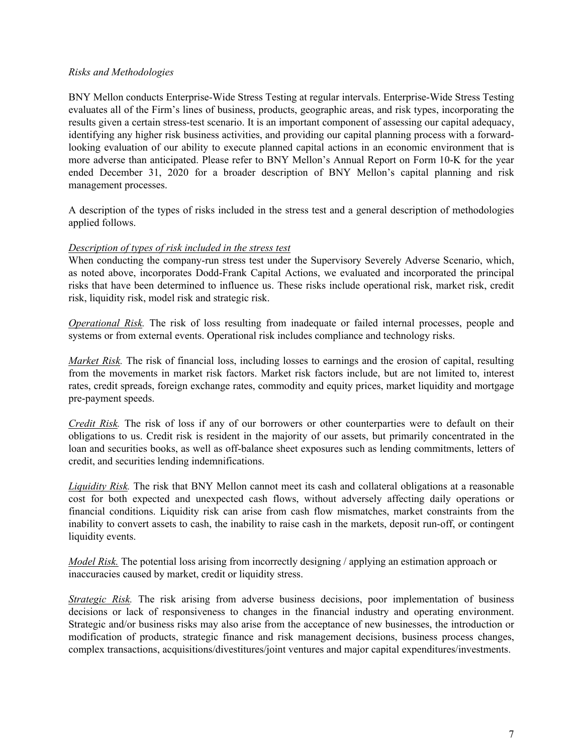## *Risks and Methodologies*

BNY Mellon conducts Enterprise-Wide Stress Testing at regular intervals. Enterprise-Wide Stress Testing evaluates all of the Firm's lines of business, products, geographic areas, and risk types, incorporating the results given a certain stress-test scenario. It is an important component of assessing our capital adequacy, identifying any higher risk business activities, and providing our capital planning process with a forwardlooking evaluation of our ability to execute planned capital actions in an economic environment that is more adverse than anticipated. Please refer to BNY Mellon's Annual Report on Form 10-K for the year ended December 31, 2020 for a broader description of BNY Mellon's capital planning and risk management processes.

A description of the types of risks included in the stress test and a general description of methodologies applied follows.

## *Description of types of risk included in the stress test*

When conducting the company-run stress test under the Supervisory Severely Adverse Scenario, which, as noted above, incorporates Dodd-Frank Capital Actions, we evaluated and incorporated the principal risks that have been determined to influence us. These risks include operational risk, market risk, credit risk, liquidity risk, model risk and strategic risk.

*Operational Risk.* The risk of loss resulting from inadequate or failed internal processes, people and systems or from external events. Operational risk includes compliance and technology risks.

*Market Risk.* The risk of financial loss, including losses to earnings and the erosion of capital, resulting from the movements in market risk factors. Market risk factors include, but are not limited to, interest rates, credit spreads, foreign exchange rates, commodity and equity prices, market liquidity and mortgage pre-payment speeds.

*Credit Risk.* The risk of loss if any of our borrowers or other counterparties were to default on their obligations to us. Credit risk is resident in the majority of our assets, but primarily concentrated in the loan and securities books, as well as off-balance sheet exposures such as lending commitments, letters of credit, and securities lending indemnifications.

*Liquidity Risk.* The risk that BNY Mellon cannot meet its cash and collateral obligations at a reasonable cost for both expected and unexpected cash flows, without adversely affecting daily operations or financial conditions. Liquidity risk can arise from cash flow mismatches, market constraints from the inability to convert assets to cash, the inability to raise cash in the markets, deposit run-off, or contingent liquidity events.

*Model Risk.* The potential loss arising from incorrectly designing / applying an estimation approach or inaccuracies caused by market, credit or liquidity stress.

*Strategic Risk.* The risk arising from adverse business decisions, poor implementation of business decisions or lack of responsiveness to changes in the financial industry and operating environment. Strategic and/or business risks may also arise from the acceptance of new businesses, the introduction or modification of products, strategic finance and risk management decisions, business process changes, complex transactions, acquisitions/divestitures/joint ventures and major capital expenditures/investments.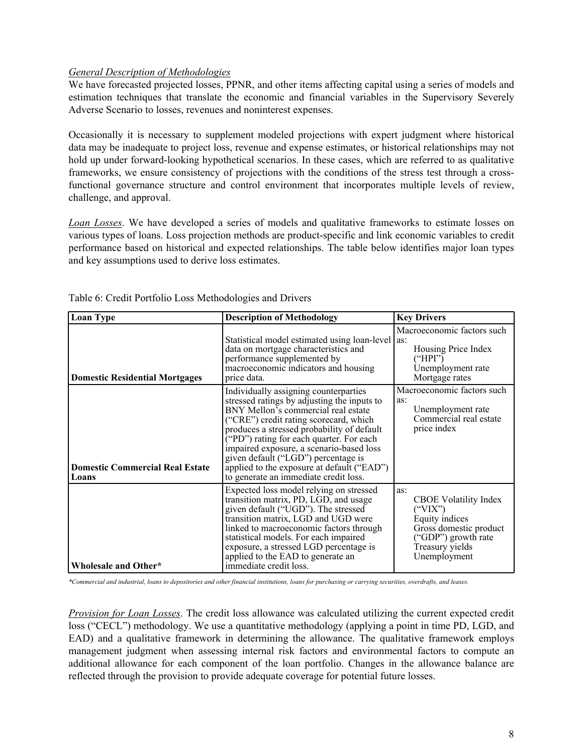# *General Description of Methodologies*

We have forecasted projected losses, PPNR, and other items affecting capital using a series of models and estimation techniques that translate the economic and financial variables in the Supervisory Severely Adverse Scenario to losses, revenues and noninterest expenses.

Occasionally it is necessary to supplement modeled projections with expert judgment where historical data may be inadequate to project loss, revenue and expense estimates, or historical relationships may not hold up under forward-looking hypothetical scenarios. In these cases, which are referred to as qualitative frameworks, we ensure consistency of projections with the conditions of the stress test through a crossfunctional governance structure and control environment that incorporates multiple levels of review, challenge, and approval.

*Loan Losses*. We have developed a series of models and qualitative frameworks to estimate losses on various types of loans. Loss projection methods are product-specific and link economic variables to credit performance based on historical and expected relationships. The table below identifies major loan types and key assumptions used to derive loss estimates.

|                                          |                                                                                                                                                                                                                                                                                                                                                                                                                                           | <b>Key Drivers</b>                                                                                                                                         |
|------------------------------------------|-------------------------------------------------------------------------------------------------------------------------------------------------------------------------------------------------------------------------------------------------------------------------------------------------------------------------------------------------------------------------------------------------------------------------------------------|------------------------------------------------------------------------------------------------------------------------------------------------------------|
| <b>Loan Type</b>                         | <b>Description of Methodology</b>                                                                                                                                                                                                                                                                                                                                                                                                         |                                                                                                                                                            |
| Domestic Residential Mortgages           | Statistical model estimated using loan-level as:<br>data on mortgage characteristics and<br>performance supplemented by<br>macroeconomic indicators and housing<br>price data.                                                                                                                                                                                                                                                            | Macroeconomic factors such<br>Housing Price Index<br>("HPI")<br>Unemployment rate<br>Mortgage rates                                                        |
| Domestic Commercial Real Estate<br>Loans | Individually assigning counterparties<br>stressed ratings by adjusting the inputs to<br>BNY Mellon's commercial real estate<br>("CRE") credit rating scorecard, which<br>produces a stressed probability of default<br>("PD") rating for each quarter. For each<br>impaired exposure, a scenario-based loss<br>given default ("LGD") percentage is<br>applied to the exposure at default ("EAD")<br>to generate an immediate credit loss. | Macroeconomic factors such<br>as:<br>Unemployment rate<br>Commercial real estate<br>price index                                                            |
| Wholesale and Other*                     | Expected loss model relying on stressed<br>transition matrix, PD, LGD, and usage<br>given default ("UGD"). The stressed<br>transition matrix, LGD and UGD were<br>linked to macroeconomic factors through<br>statistical models. For each impaired<br>exposure, a stressed LGD percentage is<br>applied to the EAD to generate an<br>immediate credit loss.                                                                               | as:<br><b>CBOE</b> Volatility Index<br>$($ "VIX" $)$<br>Equity indices<br>Gross domestic product<br>("GDP") growth rate<br>Treasury yields<br>Unemployment |

Table 6: Credit Portfolio Loss Methodologies and Drivers

*\*Commercial and industrial, loans to depositories and other financial institutions, loans for purchasing or carrying securities, overdrafts, and leases.*

*Provision for Loan Losses*. The credit loss allowance was calculated utilizing the current expected credit loss ("CECL") methodology. We use a quantitative methodology (applying a point in time PD, LGD, and EAD) and a qualitative framework in determining the allowance. The qualitative framework employs management judgment when assessing internal risk factors and environmental factors to compute an additional allowance for each component of the loan portfolio. Changes in the allowance balance are reflected through the provision to provide adequate coverage for potential future losses.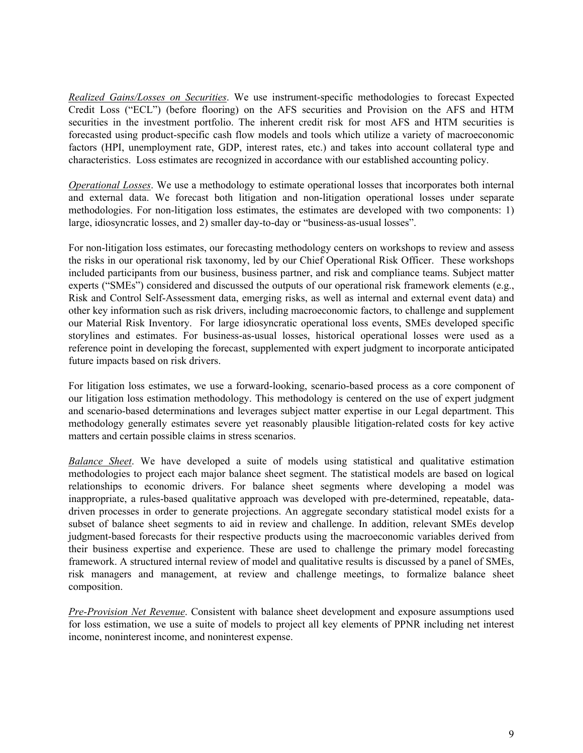*Realized Gains/Losses on Securities*. We use instrument-specific methodologies to forecast Expected Credit Loss ("ECL") (before flooring) on the AFS securities and Provision on the AFS and HTM securities in the investment portfolio. The inherent credit risk for most AFS and HTM securities is forecasted using product-specific cash flow models and tools which utilize a variety of macroeconomic factors (HPI, unemployment rate, GDP, interest rates, etc.) and takes into account collateral type and characteristics. Loss estimates are recognized in accordance with our established accounting policy.

*Operational Losses*. We use a methodology to estimate operational losses that incorporates both internal and external data. We forecast both litigation and non-litigation operational losses under separate methodologies. For non-litigation loss estimates, the estimates are developed with two components: 1) large, idiosyncratic losses, and 2) smaller day-to-day or "business-as-usual losses".

For non-litigation loss estimates, our forecasting methodology centers on workshops to review and assess the risks in our operational risk taxonomy, led by our Chief Operational Risk Officer. These workshops included participants from our business, business partner, and risk and compliance teams. Subject matter experts ("SMEs") considered and discussed the outputs of our operational risk framework elements (e.g., Risk and Control Self-Assessment data, emerging risks, as well as internal and external event data) and other key information such as risk drivers, including macroeconomic factors, to challenge and supplement our Material Risk Inventory. For large idiosyncratic operational loss events, SMEs developed specific storylines and estimates. For business-as-usual losses, historical operational losses were used as a reference point in developing the forecast, supplemented with expert judgment to incorporate anticipated future impacts based on risk drivers.

For litigation loss estimates, we use a forward-looking, scenario-based process as a core component of our litigation loss estimation methodology. This methodology is centered on the use of expert judgment and scenario-based determinations and leverages subject matter expertise in our Legal department. This methodology generally estimates severe yet reasonably plausible litigation-related costs for key active matters and certain possible claims in stress scenarios.

*Balance Sheet*. We have developed a suite of models using statistical and qualitative estimation methodologies to project each major balance sheet segment. The statistical models are based on logical relationships to economic drivers. For balance sheet segments where developing a model was inappropriate, a rules-based qualitative approach was developed with pre-determined, repeatable, datadriven processes in order to generate projections. An aggregate secondary statistical model exists for a subset of balance sheet segments to aid in review and challenge. In addition, relevant SMEs develop judgment-based forecasts for their respective products using the macroeconomic variables derived from their business expertise and experience. These are used to challenge the primary model forecasting framework. A structured internal review of model and qualitative results is discussed by a panel of SMEs, risk managers and management, at review and challenge meetings, to formalize balance sheet composition.

*Pre-Provision Net Revenue*. Consistent with balance sheet development and exposure assumptions used for loss estimation, we use a suite of models to project all key elements of PPNR including net interest income, noninterest income, and noninterest expense.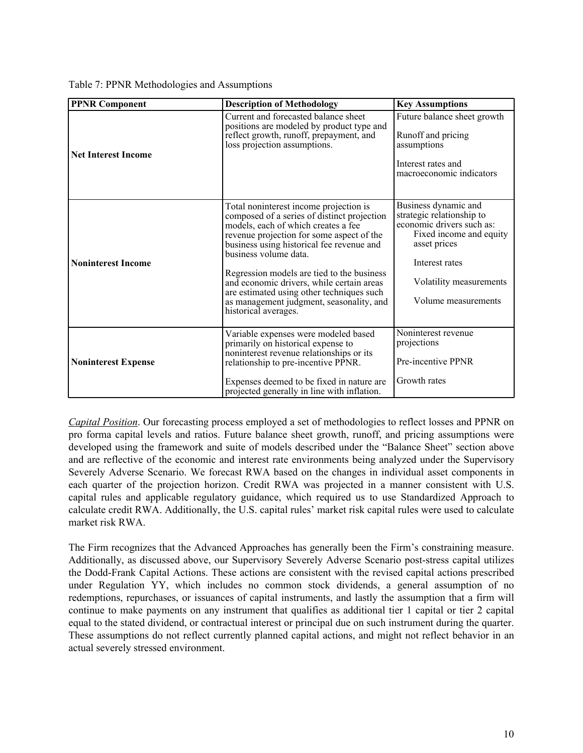| Table 7: PPNR Methodologies and Assumptions |  |  |  |  |  |
|---------------------------------------------|--|--|--|--|--|
|---------------------------------------------|--|--|--|--|--|

| <b>PPNR Component</b>      | <b>Description of Methodology</b>                                                                                                                                                                                                                                                                                                                                                                                                                           | <b>Key Assumptions</b>                                                                                                                                                                        |
|----------------------------|-------------------------------------------------------------------------------------------------------------------------------------------------------------------------------------------------------------------------------------------------------------------------------------------------------------------------------------------------------------------------------------------------------------------------------------------------------------|-----------------------------------------------------------------------------------------------------------------------------------------------------------------------------------------------|
| <b>Net Interest Income</b> | Current and forecasted balance sheet<br>positions are modeled by product type and<br>reflect growth, runoff, prepayment, and<br>loss projection assumptions.                                                                                                                                                                                                                                                                                                | Future balance sheet growth<br>Runoff and pricing<br>assumptions<br>Interest rates and<br>macroeconomic indicators                                                                            |
| <b>Noninterest Income</b>  | Total noninterest income projection is<br>composed of a series of distinct projection<br>models, each of which creates a fee<br>revenue projection for some aspect of the<br>business using historical fee revenue and<br>business volume data.<br>Regression models are tied to the business<br>and economic drivers, while certain areas<br>are estimated using other techniques such<br>as management judgment, seasonality, and<br>historical averages. | Business dynamic and<br>strategic relationship to<br>economic drivers such as:<br>Fixed income and equity<br>asset prices<br>Interest rates<br>Volatility measurements<br>Volume measurements |
| <b>Noninterest Expense</b> | Variable expenses were modeled based<br>primarily on historical expense to<br>noninterest revenue relationships or its<br>relationship to pre-incentive PPNR.<br>Expenses deemed to be fixed in nature are<br>projected generally in line with inflation.                                                                                                                                                                                                   | Noninterest revenue<br>projections<br>Pre-incentive PPNR<br>Growth rates                                                                                                                      |

*Capital Position*. Our forecasting process employed a set of methodologies to reflect losses and PPNR on pro forma capital levels and ratios. Future balance sheet growth, runoff, and pricing assumptions were developed using the framework and suite of models described under the "Balance Sheet" section above and are reflective of the economic and interest rate environments being analyzed under the Supervisory Severely Adverse Scenario. We forecast RWA based on the changes in individual asset components in each quarter of the projection horizon. Credit RWA was projected in a manner consistent with U.S. capital rules and applicable regulatory guidance, which required us to use Standardized Approach to calculate credit RWA. Additionally, the U.S. capital rules' market risk capital rules were used to calculate market risk RWA.

The Firm recognizes that the Advanced Approaches has generally been the Firm's constraining measure. Additionally, as discussed above, our Supervisory Severely Adverse Scenario post-stress capital utilizes the Dodd-Frank Capital Actions. These actions are consistent with the revised capital actions prescribed under Regulation YY, which includes no common stock dividends, a general assumption of no redemptions, repurchases, or issuances of capital instruments, and lastly the assumption that a firm will continue to make payments on any instrument that qualifies as additional tier 1 capital or tier 2 capital equal to the stated dividend, or contractual interest or principal due on such instrument during the quarter. These assumptions do not reflect currently planned capital actions, and might not reflect behavior in an actual severely stressed environment.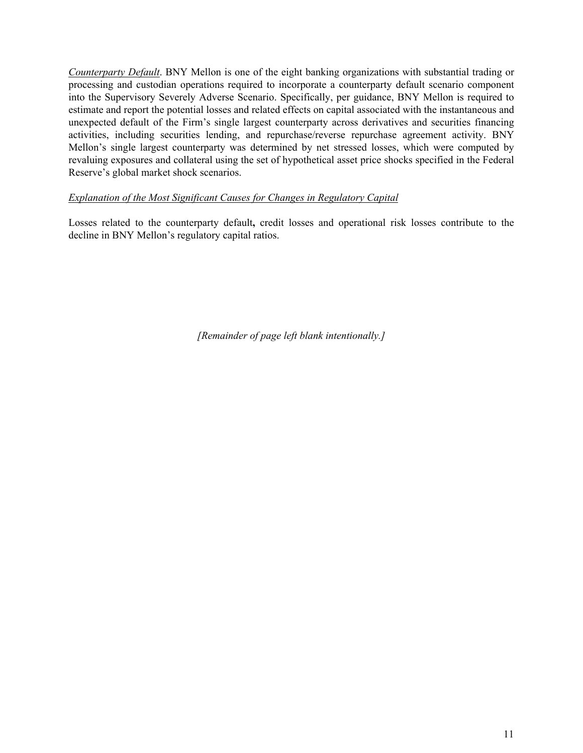*Counterparty Default*. BNY Mellon is one of the eight banking organizations with substantial trading or processing and custodian operations required to incorporate a counterparty default scenario component into the Supervisory Severely Adverse Scenario. Specifically, per guidance, BNY Mellon is required to estimate and report the potential losses and related effects on capital associated with the instantaneous and unexpected default of the Firm's single largest counterparty across derivatives and securities financing activities, including securities lending, and repurchase/reverse repurchase agreement activity. BNY Mellon's single largest counterparty was determined by net stressed losses, which were computed by revaluing exposures and collateral using the set of hypothetical asset price shocks specified in the Federal Reserve's global market shock scenarios.

# *Explanation of the Most Significant Causes for Changes in Regulatory Capital*

Losses related to the counterparty default**,** credit losses and operational risk losses contribute to the decline in BNY Mellon's regulatory capital ratios.

*[Remainder of page left blank intentionally.]*